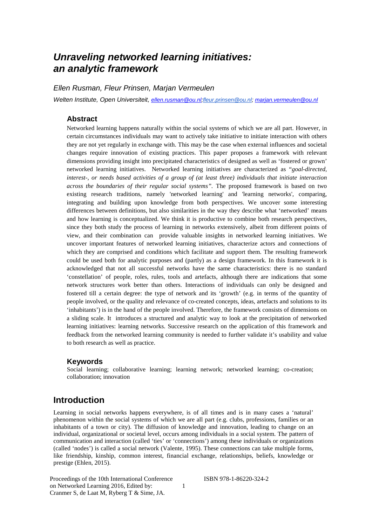# *Unraveling networked learning initiatives: an analytic framework*

*Ellen Rusman, Fleur Prinsen, Marjan Vermeulen*

*Welten Institute, Open Universiteit, [ellen.rusman@ou.nl;](mailto:ellen.rusman@ou.nl)[fleur.prinsen@ou.nl;](mailto:fleur.prinsen@ou.nl) [marjan.vermeulen@ou.nl](mailto:marjan.vermeulen@ou.nl)*

### **Abstract**

Networked learning happens naturally within the social systems of which we are all part. However, in certain circumstances individuals may want to actively take initiative to initiate interaction with others they are not yet regularly in exchange with. This may be the case when external influences and societal changes require innovation of existing practices. This paper proposes a framework with relevant dimensions providing insight into precipitated characteristics of designed as well as 'fostered or grown' networked learning initiatives. Networked learning initiatives are characterized as "*goal-directed, interest-, or needs based activities of a group of (at least three) individuals that initiate interaction across the boundaries of their regular social systems".* The proposed framework is based on two existing research traditions, namely 'networked learning' and 'learning networks', comparing, integrating and building upon knowledge from both perspectives. We uncover some interesting differences between definitions, but also similarities in the way they describe what 'networked' means and how learning is conceptualized. We think it is productive to combine both research perspectives, since they both study the process of learning in networks extensively, albeit from different points of view, and their combination can provide valuable insights in networked learning initiatives. We uncover important features of networked learning initiatives, characterize actors and connections of which they are comprised and conditions which facilitate and support them. The resulting framework could be used both for analytic purposes and (partly) as a design framework. In this framework it is acknowledged that not all successful networks have the same characteristics: there is no standard 'constellation' of people, roles, rules, tools and artefacts, although there are indications that some network structures work better than others. Interactions of individuals can only be designed and fostered till a certain degree: the type of network and its 'growth' (e.g. in terms of the quantity of people involved, or the quality and relevance of co-created concepts, ideas, artefacts and solutions to its 'inhabitants') is in the hand of the people involved. Therefore, the framework consists of dimensions on a sliding scale. It introduces a structured and analytic way to look at the precipitation of networked learning initiatives: learning networks. Successive research on the application of this framework and feedback from the networked learning community is needed to further validate it's usability and value to both research as well as practice.

#### **Keywords**

Social learning; collaborative learning; learning network; networked learning; co-creation; collaboration; innovation

### **Introduction**

Learning in social networks happens everywhere, is of all times and is in many cases a 'natural' phenomenon within the social systems of which we are all part (e.g. clubs, professions, families or an inhabitants of a town or city). The diffusion of knowledge and innovation, leading to change on an individual, organizational or societal level, occurs among individuals in a social system. The pattern of communication and interaction (called 'ties' or 'connections') among these individuals or organizations (called 'nodes') is called a social network (Valente, 1995). These connections can take multiple forms, like friendship, kinship, common interest, financial exchange, relationships, beliefs, knowledge or prestige (Ehlen, 2015).

1

Proceedings of the 10th International Conference on Networked Learning 2016, Edited by: Cranmer S, de Laat M, Ryberg T & Sime, JA.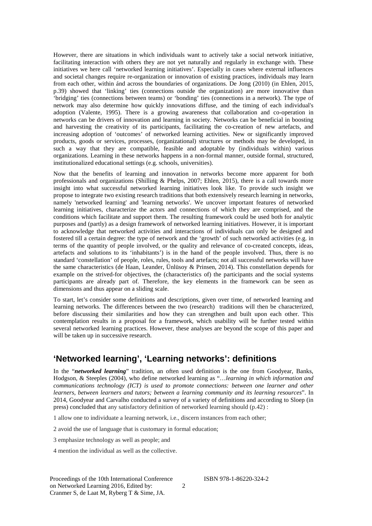However, there are situations in which individuals want to actively take a social network initiative, facilitating interaction with others they are not yet naturally and regularly in exchange with. These initiatives we here call 'networked learning initiatives'. Especially in cases where external influences and societal changes require re-organization or innovation of existing practices, individuals may learn from each other, within ánd across the boundaries of organizations. De Jong (2010) (in Ehlen, 2015, p.39) showed that 'linking' ties (connections outside the organization) are more innovative than 'bridging' ties (connections between teams) or 'bonding' ties (connections in a network). The type of network may also determine how quickly innovations diffuse, and the timing of each individual's adoption (Valente, 1995). There is a growing awareness that collaboration and co-operation in networks can be drivers of innovation and learning in society. Networks can be beneficial in boosting and harvesting the creativity of its participants, facilitating the co-creation of new artefacts, and increasing adoption of 'outcomes' of networked learning activities. New or significantly improved products, goods or services, processes, (organizational) structures or methods may be developed, in such a way that they are compatible, feasible and adoptable by (individuals within) various organizations. Learning in these networks happens in a non-formal manner, outside formal, structured, institutionalized educational settings (e.g. schools, universities).

Now that the benefits of learning and innovation in networks become more apparent for both professionals and organizations (Shilling & Phelps, 2007; Ehlen, 2015), there is a call towards more insight into what successful networked learning initiatives look like. To provide such insight we propose to integrate two existing research traditions that both extensively research learning in networks, namely 'networked learning' and 'learning networks'. We uncover important features of networked learning initiatives, characterize the actors and connections of which they are comprised, and the conditions which facilitate and support them. The resulting framework could be used both for analytic purposes and (partly) as a design framework of networked learning initiatives. However, it is important to acknowledge that networked activities and interactions of individuals can only be designed and fostered till a certain degree: the type of network and the 'growth' of such networked activities (e.g. in terms of the quantity of people involved, or the quality and relevance of co-created concepts, ideas, artefacts and solutions to its 'inhabitants') is in the hand of the people involved. Thus, there is no standard 'constellation' of people, roles, rules, tools and artefacts; not all successful networks will have the same characteristics (de Haan, Leander, Ünlüsoy & Prinsen, 2014). This constellation depends for example on the strived-for objectives, the (characteristics of) the participants and the social systems participants are already part of. Therefore, the key elements in the framework can be seen as dimensions and thus appear on a sliding scale.

To start, let's consider some definitions and descriptions, given over time, of networked learning and learning networks. The differences between the two (research) traditions will then be characterized, before discussing their similarities and how they can strengthen and built upon each other. This contemplation results in a proposal for a framework, which usability will be further tested within several networked learning practices. However, these analyses are beyond the scope of this paper and will be taken up in successive research.

## **'Networked learning', 'Learning networks': definitions**

In the "*networked learning*" tradition, an often used definition is the one from Goodyear, Banks, Hodgson, & Steeples (2004), who define networked learning as "…*learning in which information and communications technology (ICT) is used to promote connections: between one learner and other learners, between learners and tutors; between a learning community and its learning resources*". In 2014, Goodyear and Carvalho conducted a survey of a variety of definitions and according to Sloep (in press) concluded that any satisfactory definition of networked learning should (p.42) :

2

1 allow one to individuate a learning network, i.e., discern instances from each other;

2 avoid the use of language that is customary in formal education;

3 emphasize technology as well as people; and

4 mention the individual as well as the collective.

Proceedings of the 10th International Conference on Networked Learning 2016, Edited by: Cranmer S, de Laat M, Ryberg T & Sime, JA.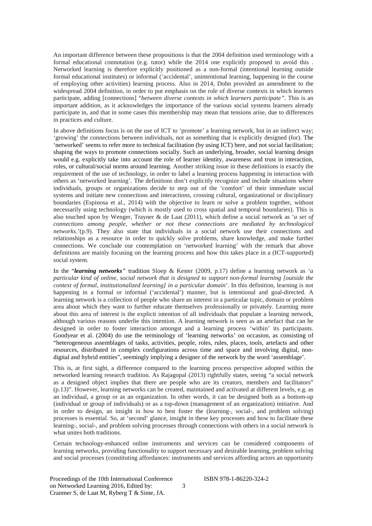An important difference between these propositions is that the 2004 definition used terminology with a formal educational connotation (e.g. tutor) while the 2014 one explicitly proposed to avoid this . Networked learning is therefore explicitly positioned as a non-formal (intentional learning outside formal educational institutes) or informal ('accidental', unintentional learning, happening in the course of employing other activities) learning process. Also in 2014, Dohn provided an amendment to the widespread 2004 definition, in order to put emphasis on the role of diverse contexts in which learners participate, adding [connections] "*between diverse contexts in which learners participate"*. This is an important addition, as it acknowledges the importance of the various social systems learners already participate in, and that in some cases this membership may mean that tensions arise, due to differences in practices and culture.

In above definitions focus is on the use of ICT to 'promote' a learning network, but in an indirect way; 'growing' the connections between individuals, not as something that is explicitly designed (for). The 'networked' seems to refer more to technical facilitation (by using ICT) here, and not social facilitation; shaping the ways to promote connections socially. Such an underlying, broader, social learning design would e.g. explicitly take into account the role of learner identity, awareness and trust in interaction, roles, or cultural/social norms around learning. Another striking issue in these definitions is exactly the requirement of the use of technology, in order to label a learning process happening in interaction with others as 'networked learning'. The definitions don't explicitly recognize and include situations where individuals, groups or organizations decide to step out of the 'comfort' of their immediate social systems and initiate new connections and interactions, crossing cultural, organizational or disciplinary boundaries (Espinosa et al., 2014) with the objective to learn or solve a problem together, without necessarily using technology (which is mostly used to cross spatial and temporal boundaries). This is also touched upon by Wenger, Trayner & de Laat (2011), which define a social network as '*a set of connections among people, whether or not these connections are mediated by technological networks*.'(p.9). They also state that individuals in a social network use their connections and relationships as a resource in order to quickly solve problems, share knowledge, and make further connections. We conclude our contemplation on 'networked learning' with the remark that above definitions are mainly focusing on the learning process and how this takes place in a (ICT-supported) social system.

In the "*learning networks"* tradition Sloep & Kester (2009, p.17) define a learning network as '*a particular kind of online, social network that is designed to support non-formal learning [outside the context of formal, institutionalized learning] in a particular domain*'. In this definition, learning is not happening in a formal or informal ('accidental') manner, but is intentional and goal-directed. A learning network is a collection of people who share an interest in a particular topic, domain or problem area about which they want to further educate themselves professionally or privately. Learning more about this area of interest is the explicit intention of all individuals that populate a learning network, although various reasons underlie this intention. A learning network is seen as an artefact that can be designed in order to foster interaction amongst and a learning process 'within' its participants. Goodyear et al. (2004) do use the terminology of 'learning networks' on occasion, as consisting of "heterogeneous assemblages of tasks, activities, people, roles, rules, places, tools, artefacts and other resources, distributed in complex configurations across time and space and involving digital, nondigital and hybrid entities", seemingly implying a designer of the network by the word 'assemblage'.

This is, at first sight, a difference compared to the learning process perspective adopted within the networked learning research tradition. As Rajagopal (2013) rightfully states, seeing "a social network as a designed object implies that there are people who are its creators, members and facilitators" (p.13)". However, learning networks can be created, maintained and activated at different levels, e.g. as an individual, a group or as an organization. In other words, it can be designed both as a bottom-up (individual or group of individuals) or as a top-down (management of an organization) initiative. And in order to design, an insight in how to best foster the (learning-, social-, and problem solving) processes is essential. So, at 'second' glance, insight in these key processes and how to facilitate these learning-, social-, and problem solving processes through connections with others in a social network is what unites both traditions.

Certain technology-enhanced online instruments and services can be considered components of learning networks, providing functionality to support necessary and desirable learning, problem solving and social processes (constituting affordances: instruments and services affording actors an opportunity

Proceedings of the 10th International Conference on Networked Learning 2016, Edited by: Cranmer S, de Laat M, Ryberg T & Sime, JA.

ISBN 978-1-86220-324-2

3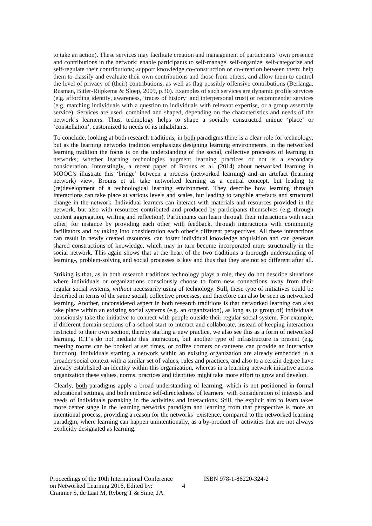to take an action). These services may facilitate creation and management of participants' own presence and contributions in the network; enable participants to self-manage, self-organize, self-categorize and self-regulate their contributions; support knowledge co-construction or co-creation between them; help them to classify and evaluate their own contributions and those from others, and allow them to control the level of privacy of (their) contributions, as well as flag possibly offensive contributions (Berlanga, Rusman, Bitter-Rijpkema & Sloep, 2009, p.30). Examples of such services are dynamic profile services (e.g. affording identity, awareness, 'traces of history' and interpersonal trust) or recommender services (e.g. matching individuals with a question to individuals with relevant expertise, or a group assembly service). Services are used, combined and shaped, depending on the characteristics and needs of the network's learners. Thus, technology helps to shape a socially constructed unique 'place' or 'constellation', customized to needs of its inhabitants.

To conclude, looking at both research traditions, in both paradigms there is a clear role for technology, but as the learning networks tradition emphasizes designing learning environments, in the networked learning tradition the focus is on the understanding of the social, collective processes of learning in networks; whether learning technologies augment learning practices or not is a secondary consideration. Interestingly, a recent paper of Brouns et al. (2014) about networked learning in MOOC's illustrate this 'bridge' between a process (networked learning) and an artefact (learning network) view. Brouns et al. take networked learning as a central concept, but leading to (re)development of a technological learning environment. They describe how learning through interactions can take place at various levels and scales, but leading to tangible artefacts and structural change in the network. Individual learners can interact with materials and resources provided in the network, but also with resources contributed and produced by participants themselves (e.g. through content aggregation, writing and reflection). Participants can learn through their interactions with each other, for instance by providing each other with feedback, through interactions with community facilitators and by taking into consideration each other's different perspectives. All these interactions can result in newly created resources, can foster individual knowledge acquisition and can generate shared constructions of knowledge, which may in turn become incorporated more structurally in the social network. This again shows that at the heart of the two traditions a thorough understanding of learning-, problem-solving and social processes is key and thus that they are not so different after all.

Striking is that, as in both research traditions technology plays a role, they do not describe situations where individuals or organizations consciously choose to form new connections away from their regular social systems, *without* necessarily using of technology. Still, these type of initiatives could be described in terms of the same social, collective processes, and therefore can also be seen as networked learning. Another, unconsidered aspect in both research traditions is that networked learning can also take place within an existing social systems (e.g. an organization), as long as (a group of) individuals consciously take the initiative to connect with people outside their regular social system. For example, if different domain sections of a school start to interact and collaborate, instead of keeping interaction restricted to their own section, thereby starting a new practice, we also see this as a form of networked learning. ICT's do not mediate this interaction, but another type of infrastructure is present (e.g. meeting rooms can be booked at set times, or coffee corners or canteens can provide an interactive function). Individuals starting a network within an existing organization are already embedded in a broader social context with a similar set of values, rules and practices, and also to a certain degree have already established an identity within this organization, whereas in a learning network initiative across organization these values, norms, practices and identities might take more effort to grow and develop.

Clearly, both paradigms apply a broad understanding of learning, which is not positioned in formal educational settings, and both embrace self-directedness of learners, with consideration of interests and needs of individuals partaking in the activities and interactions. Still, the explicit aim to learn takes more center stage in the learning networks paradigm and learning from that perspective is more an intentional process, providing a reason for the networks' existence, compared to the networked learning paradigm, where learning can happen unintentionally, as a by-product of activities that are not always explicitly designated as learning.

Proceedings of the 10th International Conference on Networked Learning 2016, Edited by: Cranmer S, de Laat M, Ryberg T & Sime, JA.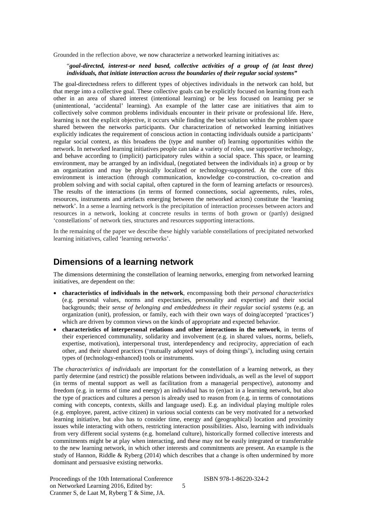Grounded in the reflection above, we now characterize a networked learning initiatives as:

#### "*goal-directed, interest-or need based, collective activities of a group of (at least three) individuals, that initiate interaction across the boundaries of their regular social systems"*

The goal-directedness refers to different types of objectives individuals in the network can hold, but that merge into a collective goal. These collective goals can be explicitly focused on learning from each other in an area of shared interest (intentional learning) or be less focused on learning per se (unintentional, 'accidental' learning). An example of the latter case are initiatives that aim to collectively solve common problems individuals encounter in their private or professional life. Here, learning is not the explicit objective, it occurs while finding the best solution within the problem space shared between the networks participants. Our characterization of networked learning initiatives explicitly indicates the requirement of conscious action in contacting individuals outside a participants' regular social context, as this broadens the (type and number of) learning opportunities within the network. In networked learning initiatives people can take a variety of roles, use supportive technology, and behave according to (implicit) participatory rules within a social space. This space, or learning environment, may be arranged by an individual, (negotiated between the individuals in) a group or by an organization and may be physically localized or technology-supported. At the core of this environment is interaction (through communication, knowledge co-construction, co-creation and problem solving and with social capital, often captured in the form of learning artefacts or resources). The results of the interactions (in terms of formed connections, social agreements, rules, roles, resources, instruments and artefacts emerging between the networked actors) constitute the 'learning network'. In a sense a learning network is the precipitation of interaction processes between actors and resources in a network, looking at concrete results in terms of both grown or (partly) designed 'constellations' of network ties, structures and resources supporting interactions.

In the remaining of the paper we describe these highly variable constellations of precipitated networked learning initiatives, called 'learning networks'.

### **Dimensions of a learning network**

The dimensions determining the constellation of learning networks, emerging from networked learning initiatives, are dependent on the:

- **characteristics of individuals in the network**, encompassing both their *personal characteristics*  (e.g. personal values, norms and expectancies, personality and expertise) and their social backgrounds; their *sense of belonging and embeddedness in their regular social systems* (e.g. an organization (unit), profession, or family, each with their own ways of doing/accepted 'practices') which are driven by common views on the kinds of appropriate and expected behavior.
- **characteristics of interpersonal relations and other interactions in the network**, in terms of their experienced communality, solidarity and involvement (e.g. in shared values, norms, beliefs, expertise, motivation), interpersonal trust, interdependency and reciprocity, appreciation of each other, and their shared practices ('mutually adopted ways of doing things'), including using certain types of (technology-enhanced) tools or instruments.

The *characteristics of individuals* are important for the constellation of a learning network, as they partly determine (and restrict) the possible relations between individuals, as well as the level of support (in terms of mental support as well as facilitation from a managerial perspective), autonomy and freedom (e.g. in terms of time and energy) an individual has to (en)act in a learning network, but also the type of practices and cultures a person is already used to reason from (e.g. in terms of connotations coming with concepts, contexts, skills and language used). E.g. an individual playing multiple roles (e.g. employee, parent, active citizen) in various social contexts can be very motivated for a networked learning initiative, but also has to consider time, energy and (geographical) location and proximity issues while interacting with others, restricting interaction possibilities. Also, learning with individuals from very different social systems (e.g. homeland culture), historically formed collective interests and commitments might be at play when interacting, and these may not be easily integrated or transferrable to the new learning network, in which other interests and commitments are present. An example is the study of Hannon, Riddle & Ryberg (2014) which describes that a change is often undermined by more dominant and persuasive existing networks.

5

Proceedings of the 10th International Conference on Networked Learning 2016, Edited by: Cranmer S, de Laat M, Ryberg T & Sime, JA.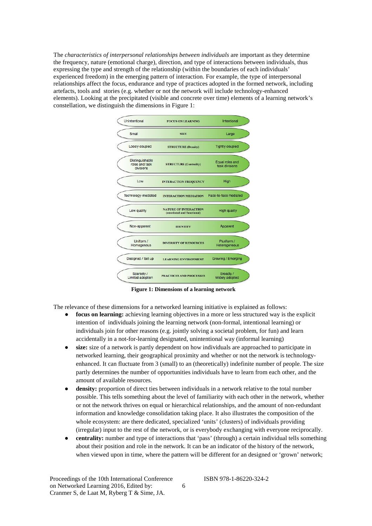The *characteristics of interpersonal relationships between individuals* are important as they determine the frequency, nature (emotional charge), direction, and type of interactions between individuals, thus expressing the type and strength of the relationship (within the boundaries of each individuals' experienced freedom) in the emerging pattern of interaction. For example, the type of interpersonal relationships affect the focus, endurance and type of practices adopted in the formed network, including artefacts, tools and stories (e.g. whether or not the network will include technology-enhanced elements). Looking at the precipitated (visible and concrete over time) elements of a learning network's constellation, we distinguish the dimensions in Figure 1:



**Figure 1: Dimensions of a learning network**

The relevance of these dimensions for a networked learning initiative is explained as follows:

- **focus on learning:** achieving learning objectives in a more or less structured way is the explicit intention of individuals joining the learning network (non-formal, intentional learning) or individuals join for other reasons (e.g. jointly solving a societal problem, for fun) and learn accidentally in a not-for-learning designated, unintentional way (informal learning)
- size: size of a network is partly dependent on how individuals are approached to participate in networked learning, their geographical proximity and whether or not the network is technologyenhanced. It can fluctuate from 3 (small) to an (theoretically) indefinite number of people. The size partly determines the number of opportunities individuals have to learn from each other, and the amount of available resources.
- **density:** proportion of direct ties between individuals in a network relative to the total number possible. This tells something about the level of familiarity with each other in the network, whether or not the network thrives on equal or hierarchical relationships, and the amount of non-redundant information and knowledge consolidation taking place. It also illustrates the composition of the whole ecosystem: are there dedicated, specialized 'units' (clusters) of individuals providing (irregular) input to the rest of the network, or is everybody exchanging with everyone reciprocally.
- **centrality:** number and type of interactions that 'pass' (through) a certain individual tells something about their position and role in the network. It can be an indicator of the history of the network, when viewed upon in time, where the pattern will be different for an designed or 'grown' network;

Proceedings of the 10th International Conference on Networked Learning 2016, Edited by: Cranmer S, de Laat M, Ryberg T & Sime, JA.

ISBN 978-1-86220-324-2

6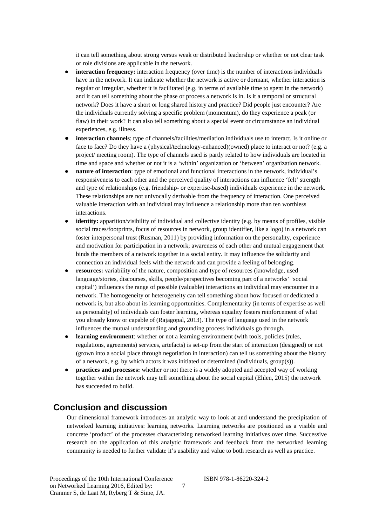it can tell something about strong versus weak or distributed leadership or whether or not clear task or role divisions are applicable in the network.

- **interaction frequency:** interaction frequency (over time) is the number of interactions individuals have in the network. It can indicate whether the network is active or dormant, whether interaction is regular or irregular, whether it is facilitated (e.g. in terms of available time to spent in the network) and it can tell something about the phase or process a network is in. Is it a temporal or structural network? Does it have a short or long shared history and practice? Did people just encounter? Are the individuals currently solving a specific problem (momentum), do they experience a peak (or flaw) in their work? It can also tell something about a special event or circumstance an individual experiences, e.g. illness.
- **interaction channels**: type of channels/facilities/mediation individuals use to interact. Is it online or face to face? Do they have a (physical/technology-enhanced)(owned) place to interact or not? (e.g. a project/ meeting room). The type of channels used is partly related to how individuals are located in time and space and whether or not it is a 'within' organization or 'between' organization network.
- **nature of interaction**: type of emotional and functional interactions in the network, individual's responsiveness to each other and the perceived quality of interactions can influence 'felt' strength and type of relationships (e.g. friendship- or expertise-based) individuals experience in the network. These relationships are not univocally derivable from the frequency of interaction. One perceived valuable interaction with an individual may influence a relationship more than ten worthless interactions.
- **identity:** apparition/visibility of individual and collective identity (e.g. by means of profiles, visible social traces/footprints, focus of resources in network, group identifier, like a logo) in a network can foster interpersonal trust (Rusman, 2011) by providing information on the personality, experience and motivation for participation in a network; awareness of each other and mutual engagement that binds the members of a network together in a social entity. It may influence the solidarity and connection an individual feels with the network and can provide a feeling of belonging.
- **resources:** variability of the nature, composition and type of resources (knowledge, used language/stories, discourses, skills, people/perspectives becoming part of a networks' 'social capital') influences the range of possible (valuable) interactions an individual may encounter in a network. The homogeneity or heterogeneity can tell something about how focused or dedicated a network is, but also about its learning opportunities. Complementarity (in terms of expertise as well as personality) of individuals can foster learning, whereas equality fosters reinforcement of what you already know or capable of (Rajagopal, 2013). The type of language used in the network influences the mutual understanding and grounding process individuals go through.
- **learning environment**: whether or not a learning environment (with tools, policies (rules, regulations, agreements) services, artefacts) is set-up from the start of interaction (designed) or not (grown into a social place through negotiation in interaction) can tell us something about the history of a network, e.g. by which actors it was initiated or determined (individuals, group(s)).
- **practices and processes:** whether or not there is a widely adopted and accepted way of working together within the network may tell something about the social capital (Ehlen, 2015) the network has succeeded to build.

## **Conclusion and discussion**

Our dimensional framework introduces an analytic way to look at and understand the precipitation of networked learning initiatives: learning networks. Learning networks are positioned as a visible and concrete 'product' of the processes characterizing networked learning initiatives over time. Successive research on the application of this analytic framework and feedback from the networked learning community is needed to further validate it's usability and value to both research as well as practice.

7